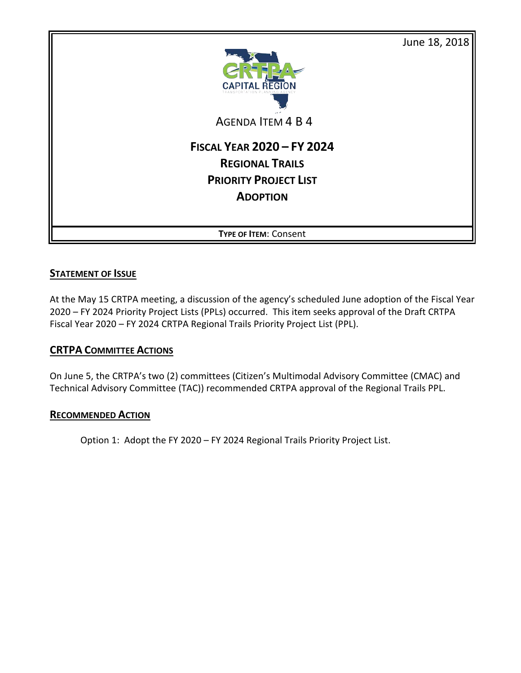

## **STATEMENT OF ISSUE**

At the May 15 CRTPA meeting, a discussion of the agency's scheduled June adoption of the Fiscal Year 2020 – FY 2024 Priority Project Lists (PPLs) occurred. This item seeks approval of the Draft CRTPA Fiscal Year 2020 – FY 2024 CRTPA Regional Trails Priority Project List (PPL).

## **CRTPA COMMITTEE ACTIONS**

On June 5, the CRTPA's two (2) committees (Citizen's Multimodal Advisory Committee (CMAC) and Technical Advisory Committee (TAC)) recommended CRTPA approval of the Regional Trails PPL.

## **RECOMMENDED ACTION**

Option 1: Adopt the FY 2020 – FY 2024 Regional Trails Priority Project List.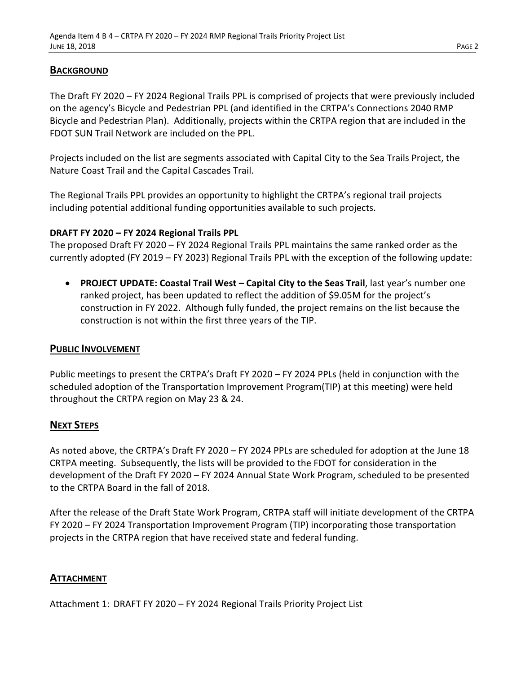### **BACKGROUND**

The Draft FY 2020 – FY 2024 Regional Trails PPL is comprised of projects that were previously included on the agency's Bicycle and Pedestrian PPL (and identified in the CRTPA's Connections 2040 RMP Bicycle and Pedestrian Plan). Additionally, projects within the CRTPA region that are included in the FDOT SUN Trail Network are included on the PPL.

Projects included on the list are segments associated with Capital City to the Sea Trails Project, the Nature Coast Trail and the Capital Cascades Trail.

The Regional Trails PPL provides an opportunity to highlight the CRTPA's regional trail projects including potential additional funding opportunities available to such projects.

#### **DRAFT FY 2020 – FY 2024 Regional Trails PPL**

The proposed Draft FY 2020 – FY 2024 Regional Trails PPL maintains the same ranked order as the currently adopted (FY 2019 – FY 2023) Regional Trails PPL with the exception of the following update:

• **PROJECT UPDATE: Coastal Trail West – Capital City to the Seas Trail**, last year's number one ranked project, has been updated to reflect the addition of \$9.05M for the project's construction in FY 2022. Although fully funded, the project remains on the list because the construction is not within the first three years of the TIP.

#### **PUBLIC INVOLVEMENT**

Public meetings to present the CRTPA's Draft FY 2020 – FY 2024 PPLs (held in conjunction with the scheduled adoption of the Transportation Improvement Program(TIP) at this meeting) were held throughout the CRTPA region on May 23 & 24.

## **NEXT STEPS**

As noted above, the CRTPA's Draft FY 2020 – FY 2024 PPLs are scheduled for adoption at the June 18 CRTPA meeting. Subsequently, the lists will be provided to the FDOT for consideration in the development of the Draft FY 2020 – FY 2024 Annual State Work Program, scheduled to be presented to the CRTPA Board in the fall of 2018.

After the release of the Draft State Work Program, CRTPA staff will initiate development of the CRTPA FY 2020 – FY 2024 Transportation Improvement Program (TIP) incorporating those transportation projects in the CRTPA region that have received state and federal funding.

## **ATTACHMENT**

Attachment 1: DRAFT FY 2020 – FY 2024 Regional Trails Priority Project List